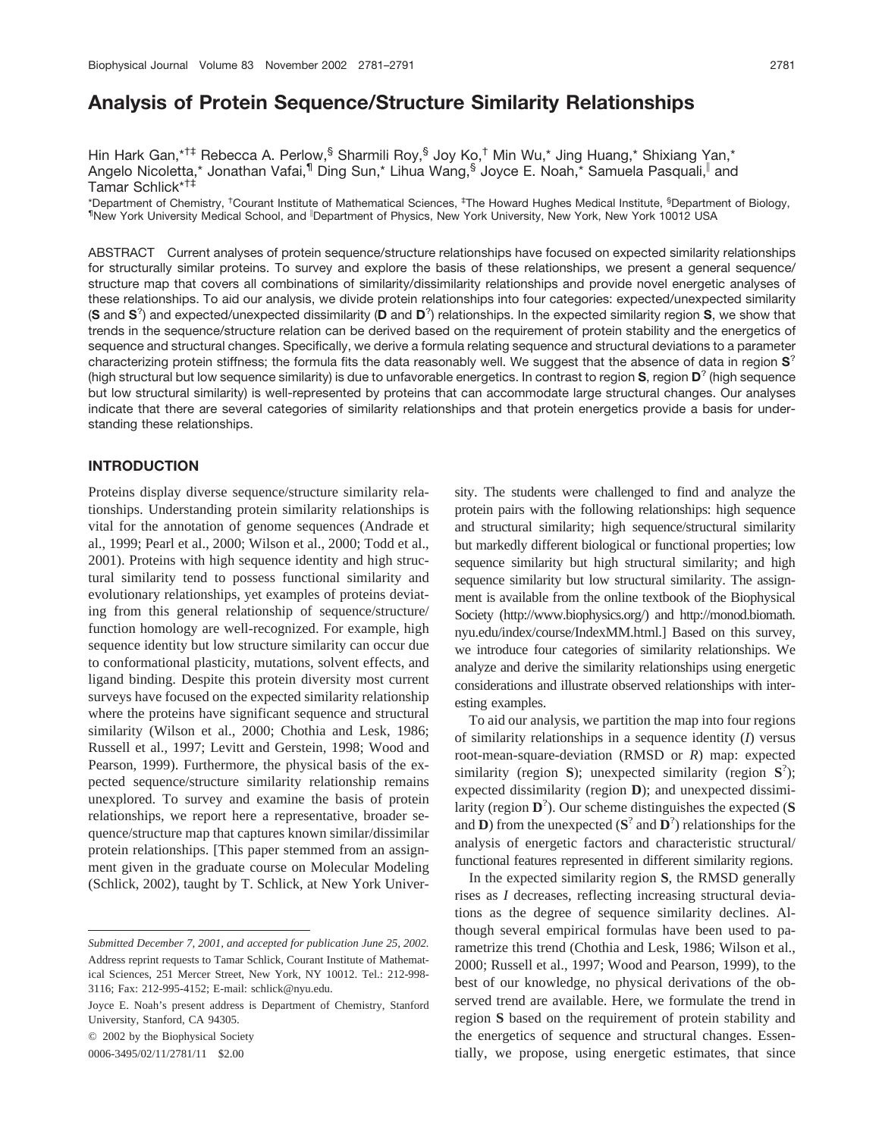# **Analysis of Protein Sequence/Structure Similarity Relationships**

Hin Hark Gan,\*<sup>†‡</sup> Rebecca A. Perlow,<sup>§</sup> Sharmili Roy,<sup>§</sup> Joy Ko,<sup>†</sup> Min Wu,\* Jing Huang,\* Shixiang Yan,\* Angelo Nicoletta,\* Jonathan Vafai,<sup>¶</sup> Ding Sun,\* Lihua Wang, SJoyce E. Noah,\* Samuela Pasquali, and Tamar Schlick\*†‡

\*Department of Chemistry, <sup>†</sup>Courant Institute of Mathematical Sciences, <sup>‡</sup>The Howard Hughes Medical Institute, <sup>\$</sup>Department of Biology,<br><sup>¶</sup>New York University Medical School, and <sup>|</sup>Department of Physics, New York Unive New York University Medical School, and <sup>||</sup>Department of Physics, New York University, New York, New York 10012 USA

ABSTRACT Current analyses of protein sequence/structure relationships have focused on expected similarity relationships for structurally similar proteins. To survey and explore the basis of these relationships, we present a general sequence/ structure map that covers all combinations of similarity/dissimilarity relationships and provide novel energetic analyses of these relationships. To aid our analysis, we divide protein relationships into four categories: expected/unexpected similarity (**S** and **S**? ) and expected/unexpected dissimilarity (**D** and **D**? ) relationships. In the expected similarity region **S**, we show that trends in the sequence/structure relation can be derived based on the requirement of protein stability and the energetics of sequence and structural changes. Specifically, we derive a formula relating sequence and structural deviations to a parameter characterizing protein stiffness; the formula fits the data reasonably well. We suggest that the absence of data in region **S**? (high structural but low sequence similarity) is due to unfavorable energetics. In contrast to region **S**, region **D**? (high sequence but low structural similarity) is well-represented by proteins that can accommodate large structural changes. Our analyses indicate that there are several categories of similarity relationships and that protein energetics provide a basis for understanding these relationships.

# **INTRODUCTION**

Proteins display diverse sequence/structure similarity relationships. Understanding protein similarity relationships is vital for the annotation of genome sequences (Andrade et al., 1999; Pearl et al., 2000; Wilson et al., 2000; Todd et al., 2001). Proteins with high sequence identity and high structural similarity tend to possess functional similarity and evolutionary relationships, yet examples of proteins deviating from this general relationship of sequence/structure/ function homology are well-recognized. For example, high sequence identity but low structure similarity can occur due to conformational plasticity, mutations, solvent effects, and ligand binding. Despite this protein diversity most current surveys have focused on the expected similarity relationship where the proteins have significant sequence and structural similarity (Wilson et al., 2000; Chothia and Lesk, 1986; Russell et al., 1997; Levitt and Gerstein, 1998; Wood and Pearson, 1999). Furthermore, the physical basis of the expected sequence/structure similarity relationship remains unexplored. To survey and examine the basis of protein relationships, we report here a representative, broader sequence/structure map that captures known similar/dissimilar protein relationships. [This paper stemmed from an assignment given in the graduate course on Molecular Modeling (Schlick, 2002), taught by T. Schlick, at New York Univer-

*Submitted December 7, 2001, and accepted for publication June 25, 2002.* Address reprint requests to Tamar Schlick, Courant Institute of Mathematical Sciences, 251 Mercer Street, New York, NY 10012. Tel.: 212-998- 3116; Fax: 212-995-4152; E-mail: schlick@nyu.edu.

© 2002 by the Biophysical Society 0006-3495/02/11/2781/11 \$2.00

sity. The students were challenged to find and analyze the protein pairs with the following relationships: high sequence and structural similarity; high sequence/structural similarity but markedly different biological or functional properties; low sequence similarity but high structural similarity; and high sequence similarity but low structural similarity. The assignment is available from the online textbook of the Biophysical Society (http://www.biophysics.org/) and http://monod.biomath. nyu.edu/index/course/IndexMM.html.] Based on this survey, we introduce four categories of similarity relationships. We analyze and derive the similarity relationships using energetic considerations and illustrate observed relationships with interesting examples.

To aid our analysis, we partition the map into four regions of similarity relationships in a sequence identity (*I*) versus root-mean-square-deviation (RMSD or *R*) map: expected similarity (region **S**); unexpected similarity (region **S**? ); expected dissimilarity (region **D**); and unexpected dissimilarity (region **D**? ). Our scheme distinguishes the expected (**S** and **D**) from the unexpected (**S**? and **D**? ) relationships for the analysis of energetic factors and characteristic structural/ functional features represented in different similarity regions.

In the expected similarity region **S**, the RMSD generally rises as *I* decreases, reflecting increasing structural deviations as the degree of sequence similarity declines. Although several empirical formulas have been used to parametrize this trend (Chothia and Lesk, 1986; Wilson et al., 2000; Russell et al., 1997; Wood and Pearson, 1999), to the best of our knowledge, no physical derivations of the observed trend are available. Here, we formulate the trend in region **S** based on the requirement of protein stability and the energetics of sequence and structural changes. Essentially, we propose, using energetic estimates, that since

Joyce E. Noah's present address is Department of Chemistry, Stanford University, Stanford, CA 94305.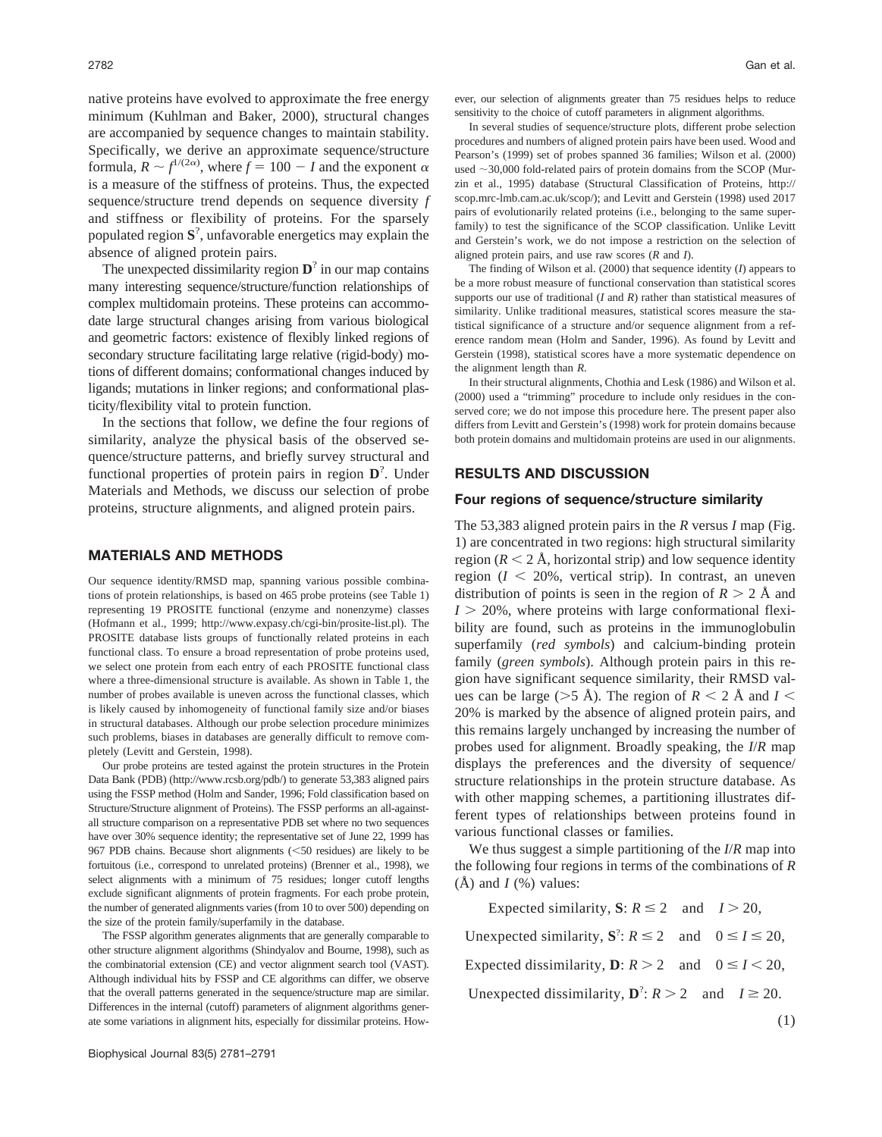native proteins have evolved to approximate the free energy minimum (Kuhlman and Baker, 2000), structural changes are accompanied by sequence changes to maintain stability. Specifically, we derive an approximate sequence/structure formula,  $R \sim f^{1/(2\alpha)}$ , where  $f = 100 - I$  and the exponent  $\alpha$ is a measure of the stiffness of proteins. Thus, the expected sequence/structure trend depends on sequence diversity *f* and stiffness or flexibility of proteins. For the sparsely populated region **S**? , unfavorable energetics may explain the absence of aligned protein pairs.

The unexpected dissimilarity region  $\mathbf{D}^2$  in our map contains many interesting sequence/structure/function relationships of complex multidomain proteins. These proteins can accommodate large structural changes arising from various biological and geometric factors: existence of flexibly linked regions of secondary structure facilitating large relative (rigid-body) motions of different domains; conformational changes induced by ligands; mutations in linker regions; and conformational plasticity/flexibility vital to protein function.

In the sections that follow, we define the four regions of similarity, analyze the physical basis of the observed sequence/structure patterns, and briefly survey structural and functional properties of protein pairs in region **D**? . Under Materials and Methods, we discuss our selection of probe proteins, structure alignments, and aligned protein pairs.

### **MATERIALS AND METHODS**

Our sequence identity/RMSD map, spanning various possible combinations of protein relationships, is based on 465 probe proteins (see Table 1) representing 19 PROSITE functional (enzyme and nonenzyme) classes (Hofmann et al., 1999; http://www.expasy.ch/cgi-bin/prosite-list.pl). The PROSITE database lists groups of functionally related proteins in each functional class. To ensure a broad representation of probe proteins used, we select one protein from each entry of each PROSITE functional class where a three-dimensional structure is available. As shown in Table 1, the number of probes available is uneven across the functional classes, which is likely caused by inhomogeneity of functional family size and/or biases in structural databases. Although our probe selection procedure minimizes such problems, biases in databases are generally difficult to remove completely (Levitt and Gerstein, 1998).

Our probe proteins are tested against the protein structures in the Protein Data Bank (PDB) (http://www.rcsb.org/pdb/) to generate 53,383 aligned pairs using the FSSP method (Holm and Sander, 1996; Fold classification based on Structure/Structure alignment of Proteins). The FSSP performs an all-againstall structure comparison on a representative PDB set where no two sequences have over 30% sequence identity; the representative set of June 22, 1999 has 967 PDB chains. Because short alignments (<50 residues) are likely to be fortuitous (i.e., correspond to unrelated proteins) (Brenner et al., 1998), we select alignments with a minimum of 75 residues; longer cutoff lengths exclude significant alignments of protein fragments. For each probe protein, the number of generated alignments varies (from 10 to over 500) depending on the size of the protein family/superfamily in the database.

The FSSP algorithm generates alignments that are generally comparable to other structure alignment algorithms (Shindyalov and Bourne, 1998), such as the combinatorial extension (CE) and vector alignment search tool (VAST). Although individual hits by FSSP and CE algorithms can differ, we observe that the overall patterns generated in the sequence/structure map are similar. Differences in the internal (cutoff) parameters of alignment algorithms generate some variations in alignment hits, especially for dissimilar proteins. However, our selection of alignments greater than 75 residues helps to reduce sensitivity to the choice of cutoff parameters in alignment algorithms.

In several studies of sequence/structure plots, different probe selection procedures and numbers of aligned protein pairs have been used. Wood and Pearson's (1999) set of probes spanned 36 families; Wilson et al. (2000) used  $\sim$  30,000 fold-related pairs of protein domains from the SCOP (Murzin et al., 1995) database (Structural Classification of Proteins, http:// scop.mrc-lmb.cam.ac.uk/scop/); and Levitt and Gerstein (1998) used 2017 pairs of evolutionarily related proteins (i.e., belonging to the same superfamily) to test the significance of the SCOP classification. Unlike Levitt and Gerstein's work, we do not impose a restriction on the selection of aligned protein pairs, and use raw scores (*R* and *I*).

The finding of Wilson et al. (2000) that sequence identity (*I*) appears to be a more robust measure of functional conservation than statistical scores supports our use of traditional (*I* and *R*) rather than statistical measures of similarity. Unlike traditional measures, statistical scores measure the statistical significance of a structure and/or sequence alignment from a reference random mean (Holm and Sander, 1996). As found by Levitt and Gerstein (1998), statistical scores have a more systematic dependence on the alignment length than *R*.

In their structural alignments, Chothia and Lesk (1986) and Wilson et al. (2000) used a "trimming" procedure to include only residues in the conserved core; we do not impose this procedure here. The present paper also differs from Levitt and Gerstein's (1998) work for protein domains because both protein domains and multidomain proteins are used in our alignments.

### **RESULTS AND DISCUSSION**

### **Four regions of sequence/structure similarity**

The 53,383 aligned protein pairs in the *R* versus *I* map (Fig. 1) are concentrated in two regions: high structural similarity region ( $R < 2$  Å, horizontal strip) and low sequence identity region  $(I \leq 20\%$ , vertical strip). In contrast, an uneven distribution of points is seen in the region of  $R > 2$  Å and  $I > 20\%$ , where proteins with large conformational flexibility are found, such as proteins in the immunoglobulin superfamily (*red symbols*) and calcium-binding protein family (*green symbols*). Although protein pairs in this region have significant sequence similarity, their RMSD values can be large ( $>$ 5 Å). The region of *R*  $<$  2 Å and *I*  $<$ 20% is marked by the absence of aligned protein pairs, and this remains largely unchanged by increasing the number of probes used for alignment. Broadly speaking, the *I*/*R* map displays the preferences and the diversity of sequence/ structure relationships in the protein structure database. As with other mapping schemes, a partitioning illustrates different types of relationships between proteins found in various functional classes or families.

We thus suggest a simple partitioning of the *I*/*R* map into the following four regions in terms of the combinations of *R*  $(A)$  and  $I$  (%) values:

Expected similarity, **S**:  $R \le 2$  and  $I > 20$ , Unexpected similarity,  $S^2$ :  $R \le 2$  and  $0 \le I \le 20$ , Expected dissimilarity,  $\mathbf{D}$ :  $R > 2$  and  $0 \le I < 20$ , Unexpected dissimilarity,  $\mathbf{D}^2$ :  $R > 2$  and  $I \ge 20$ .

(1)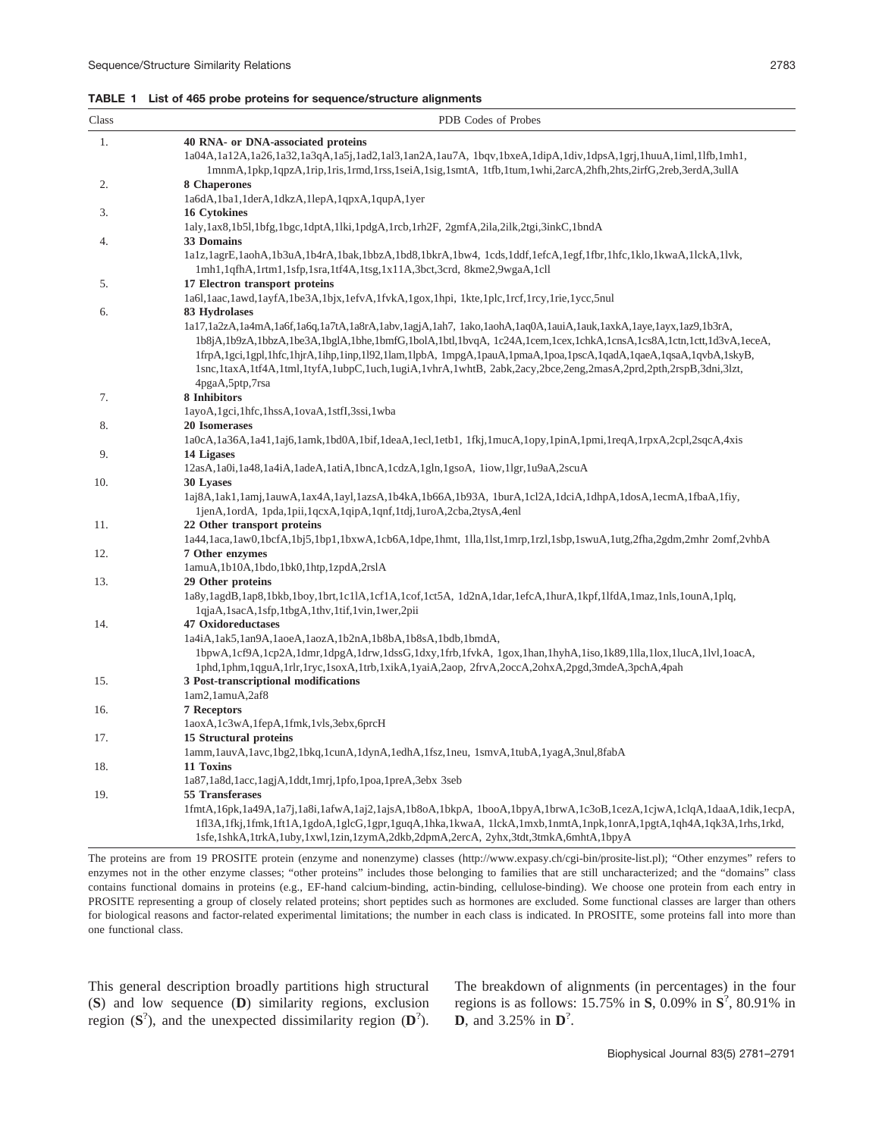| TABLE 1 |  |  | List of 465 probe proteins for sequence/structure alignments |  |
|---------|--|--|--------------------------------------------------------------|--|
|---------|--|--|--------------------------------------------------------------|--|

| Class | PDB Codes of Probes                                                                                                                 |  |  |  |
|-------|-------------------------------------------------------------------------------------------------------------------------------------|--|--|--|
| 1.    | 40 RNA- or DNA-associated proteins                                                                                                  |  |  |  |
|       | 1a04A,1a12A,1a26,1a32,1a3qA,1a5j,1ad2,1a13,1an2A,1au7A,1bqv,1bxeA,1dipA,1div,1dpsA,1grj,1huuA,1iml,1lfb,1mh1,                       |  |  |  |
|       | 1mnmA,1pkp,1qpzA,1rip,1ris,1rmd,1rss,1seiA,1sig,1smtA, 1tfb,1tum,1whi,2arcA,2hfh,2hts,2irfG,2reb,3erdA,3ullA                        |  |  |  |
| 2.    | 8 Chaperones                                                                                                                        |  |  |  |
|       | 1a6dA,1ba1,1derA,1dkzA,1lepA,1qpxA,1qupA,1yer                                                                                       |  |  |  |
| 3.    | 16 Cytokines                                                                                                                        |  |  |  |
|       | 1aly,1ax8,1b51,1bfg,1bgc,1dptA,1lki,1pdgA,1rcb,1rh2F, 2gmfA,2ila,2ilk,2tgi,3inkC,1bndA                                              |  |  |  |
| 4.    | 33 Domains                                                                                                                          |  |  |  |
|       | 1a1z,1agrE,1aohA,1b3uA,1b4rA,1bak,1bbzA,1bd8,1bkrA,1bw4, 1cds,1ddf,1efcA,1egf,1fbr,1hfc,1klo,1kwaA,1lckA,1lvk,                      |  |  |  |
|       | 1mh1,1qfhA,1rtm1,1sfp,1sra,1tf4A,1tsg,1x11A,3bct,3crd, 8kme2,9wgaA,1cll                                                             |  |  |  |
| 5.    | 17 Electron transport proteins                                                                                                      |  |  |  |
|       | 1a6l,1aac,1awd,1ayfA,1be3A,1bjx,1efvA,1fvkA,1gox,1hpi, 1kte,1plc,1rcf,1rcy,1rie,1ycc,5nul                                           |  |  |  |
| 6.    | 83 Hydrolases                                                                                                                       |  |  |  |
|       | $1a17, 1a2zA, 1a4mA, 1a6f, 1a6g, 1a7tA, 1a8rA, 1abv, 1agjA, 1ah7, 1ako, 1aohA, 1aq0A, 1auiA, 1auk, 1axkA, 1aye, 1ayx, 1az9, 1b3rA,$ |  |  |  |
|       | 1b8jA,1b9zA,1bbzA,1be3A,1bglA,1bhe,1bmfG,1bolA,1btl,1bvqA, 1c24A,1cem,1cex,1chkA,1cnsA,1cs8A,1ctn,1ctt,1d3vA,1eceA,                 |  |  |  |
|       | 1frpA,1gci,1gpl,1hfc,1hjrA,1ihp,1inp,1l92,1lam,1lpbA, 1mpgA,1pauA,1pmaA,1poa,1pscA,1qadA,1qaeA,1qsaA,1qvbA,1skyB,                   |  |  |  |
|       | 1snc,1taxA,1tf4A,1tml,1tyfA,1ubpC,1uch,1ugiA,1vhrA,1whtB,2abk,2acy,2bce,2eng,2masA,2prd,2pth,2rspB,3dni,3lzt,                       |  |  |  |
|       | 4pgaA,5ptp,7rsa                                                                                                                     |  |  |  |
| 7.    | 8 Inhibitors                                                                                                                        |  |  |  |
|       | layoA,1gci,1hfc,1hssA,1ovaA,1stfI,3ssi,1wba                                                                                         |  |  |  |
| 8.    | 20 Isomerases                                                                                                                       |  |  |  |
|       | 1a0cA,1a36A,1a41,1aj6,1amk,1bd0A,1bif,1deaA,1ecl,1etb1, 1fkj,1mucA,1opy,1pinA,1pmi,1reqA,1rpxA,2cpl,2sqcA,4xis                      |  |  |  |
| 9.    | 14 Ligases                                                                                                                          |  |  |  |
|       | 12asA,1a0i,1a48,1a4iA,1adeA,1atiA,1bncA,1cdzA,1gln,1gsoA, 1iow,1lgr,1u9aA,2scuA                                                     |  |  |  |
| 10.   | 30 Lyases<br>1aj8A,1ak1,1amj,1auwA,1ax4A,1ayl,1azsA,1b4kA,1b66A,1b93A, 1burA,1cl2A,1dciA,1dhpA,1dosA,1ecmA,1fbaA,1fiy,              |  |  |  |
|       | 1jenA,1ordA, 1pda,1pii,1qcxA,1qipA,1qnf,1tdj,1uroA,2cba,2tysA,4enl                                                                  |  |  |  |
| 11.   | 22 Other transport proteins                                                                                                         |  |  |  |
|       | 1a44,1aca,1aw0,1bcfA,1bj5,1bp1,1bxwA,1cb6A,1dpe,1hmt, 1lla,1lst,1mrp,1rzl,1sbp,1swuA,1utg,2fha,2gdm,2mhr 2omf,2vhbA                 |  |  |  |
| 12.   | 7 Other enzymes                                                                                                                     |  |  |  |
|       | 1amuA,1b10A,1bdo,1bk0,1htp,1zpdA,2rslA                                                                                              |  |  |  |
| 13.   | 29 Other proteins                                                                                                                   |  |  |  |
|       | 1a8y,1agdB,1ap8,1bkb,1boy,1brt,1c1lA,1cf1A,1cof,1ct5A, 1d2nA,1dar,1efcA,1hurA,1kpf,1lfdA,1maz,1nls,1ounA,1plq,                      |  |  |  |
|       | 1qjaA,1sacA,1sfp,1tbgA,1thv,1tif,1vin,1wer,2pii                                                                                     |  |  |  |
| 14.   | 47 Oxidoreductases                                                                                                                  |  |  |  |
|       | 1a4iA,1ak5,1an9A,1aoeA,1aozA,1b2nA,1b8bA,1b8sA,1bdb,1bmdA,                                                                          |  |  |  |
|       | 1bpwA,1cf9A,1cp2A,1dmr,1dpgA,1drw,1dssG,1dxy,1frb,1fvkA, 1gox,1han,1hyhA,1iso,1k89,1lla,1lox,1lucA,1lvl,1oacA,                      |  |  |  |
|       | 1phd,1phm,1qguA,1rlr,1ryc,1soxA,1trb,1xikA,1yaiA,2aop, 2frvA,2occA,2ohxA,2pgd,3mdeA,3pchA,4pah                                      |  |  |  |
| 15.   | 3 Post-transcriptional modifications                                                                                                |  |  |  |
|       | 1am2,1amuA,2af8                                                                                                                     |  |  |  |
| 16.   | <b>7 Receptors</b>                                                                                                                  |  |  |  |
|       | 1aoxA,1c3wA,1fepA,1fmk,1vls,3ebx,6prcH                                                                                              |  |  |  |
| 17.   | 15 Structural proteins                                                                                                              |  |  |  |
|       | 1amm,1auvA,1avc,1bg2,1bkq,1cunA,1dynA,1edhA,1fsz,1neu, 1smvA,1tubA,1yagA,3nul,8fabA                                                 |  |  |  |
| 18.   | 11 Toxins                                                                                                                           |  |  |  |
|       | 1a87,1a8d,1acc,1agjA,1ddt,1mrj,1pfo,1poa,1preA,3ebx 3seb                                                                            |  |  |  |
| 19.   | 55 Transferases                                                                                                                     |  |  |  |
|       | 1fmtA,16pk,1a49A,1a7j,1a8i,1afwA,1aj2,1ajsA,1b8oA,1bkpA, 1booA,1bpyA,1brwA,1c3oB,1cezA,1cjwA,1clqA,1daaA,1dik,1ecpA,                |  |  |  |
|       | 1fl3A,1fkj,1fmk,1ft1A,1gdoA,1glcG,1gpr,1guqA,1hka,1kwaA, 1lckA,1mxb,1nmtA,1npk,1onrA,1pgtA,1qh4A,1qk3A,1rhs,1rkd,                   |  |  |  |
|       | 1sfe,1shkA,1trkA,1uby,1xwl,1zin,1zymA,2dkb,2dpmA,2ercA, 2yhx,3tdt,3tmkA,6mhtA,1bpyA                                                 |  |  |  |

The proteins are from 19 PROSITE protein (enzyme and nonenzyme) classes (http://www.expasy.ch/cgi-bin/prosite-list.pl); "Other enzymes" refers to enzymes not in the other enzyme classes; "other proteins" includes those belonging to families that are still uncharacterized; and the "domains" class contains functional domains in proteins (e.g., EF-hand calcium-binding, actin-binding, cellulose-binding). We choose one protein from each entry in PROSITE representing a group of closely related proteins; short peptides such as hormones are excluded. Some functional classes are larger than others for biological reasons and factor-related experimental limitations; the number in each class is indicated. In PROSITE, some proteins fall into more than one functional class.

This general description broadly partitions high structural (**S**) and low sequence (**D**) similarity regions, exclusion region  $(\mathbf{S}^2)$ , and the unexpected dissimilarity region  $(\mathbf{D}^2)$ . The breakdown of alignments (in percentages) in the four regions is as follows: 15.75% in **S**, 0.09% in **S**? , 80.91% in **D**, and 3.25% in **D**? .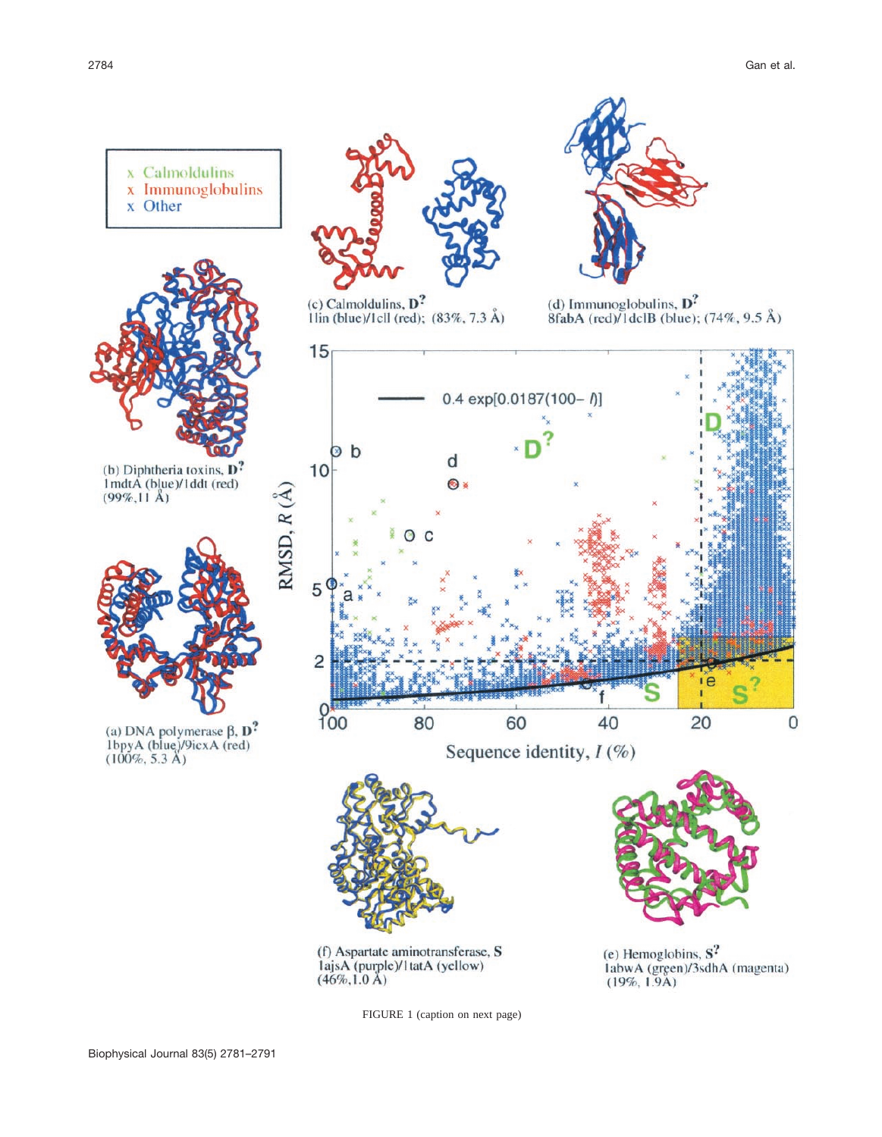

x Calmoldulins

(b) Diphtheria toxins,  $D^2$ 1mdtA (blue)/1ddt (red)  $(99\%, 11 \text{ Å})$ 



(a) DNA polymerase  $\beta$ , D<sup>2</sup> 1bpyA (blue)/9icxA (red)  $(100\%, 5.3 \text{ Å})$ 



(c) Calmoldulins,  $D^2$ 1lin (blue)/1cll (red); (83%, 7.3 Å)





Sequence identity,  $I(\%)$ 



(f) Aspartate aminotransferase, S lajsA (purple)/1tatA (yellow)  $(46\%, 1.0 \text{ Å})$ 

FIGURE 1 (caption on next page)



(e) Hemoglobins,  $S^2$ labwA (grgen)/3sdhA (magenta)  $(19\%, 1.9A)$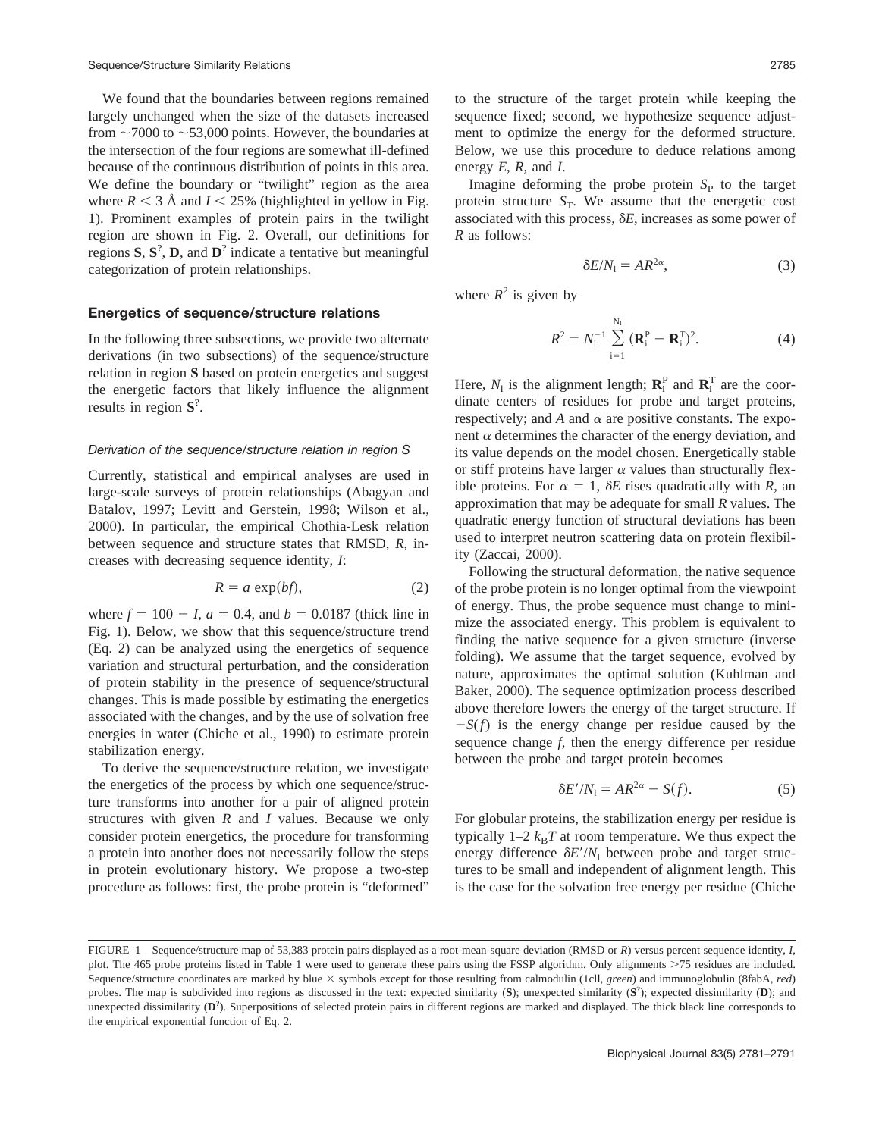We found that the boundaries between regions remained largely unchanged when the size of the datasets increased from  $\sim$ 7000 to  $\sim$ 53,000 points. However, the boundaries at the intersection of the four regions are somewhat ill-defined because of the continuous distribution of points in this area. We define the boundary or "twilight" region as the area where  $R < 3$  Å and  $I < 25\%$  (highlighted in yellow in Fig. 1). Prominent examples of protein pairs in the twilight region are shown in Fig. 2. Overall, our definitions for regions **S**, **S**? , **D**, and **D**? indicate a tentative but meaningful categorization of protein relationships.

# **Energetics of sequence/structure relations**

In the following three subsections, we provide two alternate derivations (in two subsections) of the sequence/structure relation in region **S** based on protein energetics and suggest the energetic factors that likely influence the alignment results in region **S**? .

### *Derivation of the sequence/structure relation in region S*

Currently, statistical and empirical analyses are used in large-scale surveys of protein relationships (Abagyan and Batalov, 1997; Levitt and Gerstein, 1998; Wilson et al., 2000). In particular, the empirical Chothia-Lesk relation between sequence and structure states that RMSD, *R*, increases with decreasing sequence identity, *I*:

$$
R = a \exp(bt), \tag{2}
$$

where  $f = 100 - I$ ,  $a = 0.4$ , and  $b = 0.0187$  (thick line in Fig. 1). Below, we show that this sequence/structure trend (Eq. 2) can be analyzed using the energetics of sequence variation and structural perturbation, and the consideration of protein stability in the presence of sequence/structural changes. This is made possible by estimating the energetics associated with the changes, and by the use of solvation free energies in water (Chiche et al., 1990) to estimate protein stabilization energy.

To derive the sequence/structure relation, we investigate the energetics of the process by which one sequence/structure transforms into another for a pair of aligned protein structures with given *R* and *I* values. Because we only consider protein energetics, the procedure for transforming a protein into another does not necessarily follow the steps in protein evolutionary history. We propose a two-step procedure as follows: first, the probe protein is "deformed" to the structure of the target protein while keeping the sequence fixed; second, we hypothesize sequence adjustment to optimize the energy for the deformed structure. Below, we use this procedure to deduce relations among energy *E*, *R*, and *I*.

Imagine deforming the probe protein  $S<sub>P</sub>$  to the target protein structure  $S_T$ . We assume that the energetic cost associated with this process,  $\delta E$ , increases as some power of *R* as follows:

$$
\delta E/N_1 = AR^{2\alpha},\tag{3}
$$

where  $R^2$  is given by

$$
R^{2} = N_{1}^{-1} \sum_{i=1}^{N_{1}} (\mathbf{R}_{i}^{P} - \mathbf{R}_{i}^{T})^{2}.
$$
 (4)

Here,  $N_1$  is the alignment length;  $\mathbf{R}_i^P$  and  $\mathbf{R}_i^T$  are the coordinate centers of residues for probe and target proteins, respectively; and  $A$  and  $\alpha$  are positive constants. The exponent  $\alpha$  determines the character of the energy deviation, and its value depends on the model chosen. Energetically stable or stiff proteins have larger  $\alpha$  values than structurally flexible proteins. For  $\alpha = 1$ ,  $\delta E$  rises quadratically with *R*, an approximation that may be adequate for small *R* values. The quadratic energy function of structural deviations has been used to interpret neutron scattering data on protein flexibility (Zaccai, 2000).

Following the structural deformation, the native sequence of the probe protein is no longer optimal from the viewpoint of energy. Thus, the probe sequence must change to minimize the associated energy. This problem is equivalent to finding the native sequence for a given structure (inverse folding). We assume that the target sequence, evolved by nature, approximates the optimal solution (Kuhlman and Baker, 2000). The sequence optimization process described above therefore lowers the energy of the target structure. If  $-S(f)$  is the energy change per residue caused by the sequence change *f*, then the energy difference per residue between the probe and target protein becomes

$$
\delta E'/N_1 = AR^{2\alpha} - S(f). \tag{5}
$$

For globular proteins, the stabilization energy per residue is typically  $1-2$   $k_B T$  at room temperature. We thus expect the energy difference  $\delta E^{\prime}/N_1$  between probe and target structures to be small and independent of alignment length. This is the case for the solvation free energy per residue (Chiche

FIGURE 1 Sequence/structure map of 53,383 protein pairs displayed as a root-mean-square deviation (RMSD or *R*) versus percent sequence identity, *I*, plot. The 465 probe proteins listed in Table 1 were used to generate these pairs using the FSSP algorithm. Only alignments 75 residues are included. Sequence/structure coordinates are marked by blue × symbols except for those resulting from calmodulin (1cll, *green*) and immunoglobulin (8fabA, *red*) probes. The map is subdivided into regions as discussed in the text: expected similarity (**S**); unexpected similarity (**S**? ); expected dissimilarity (**D**); and unexpected dissimilarity (D<sup>2</sup>). Superpositions of selected protein pairs in different regions are marked and displayed. The thick black line corresponds to the empirical exponential function of Eq. 2.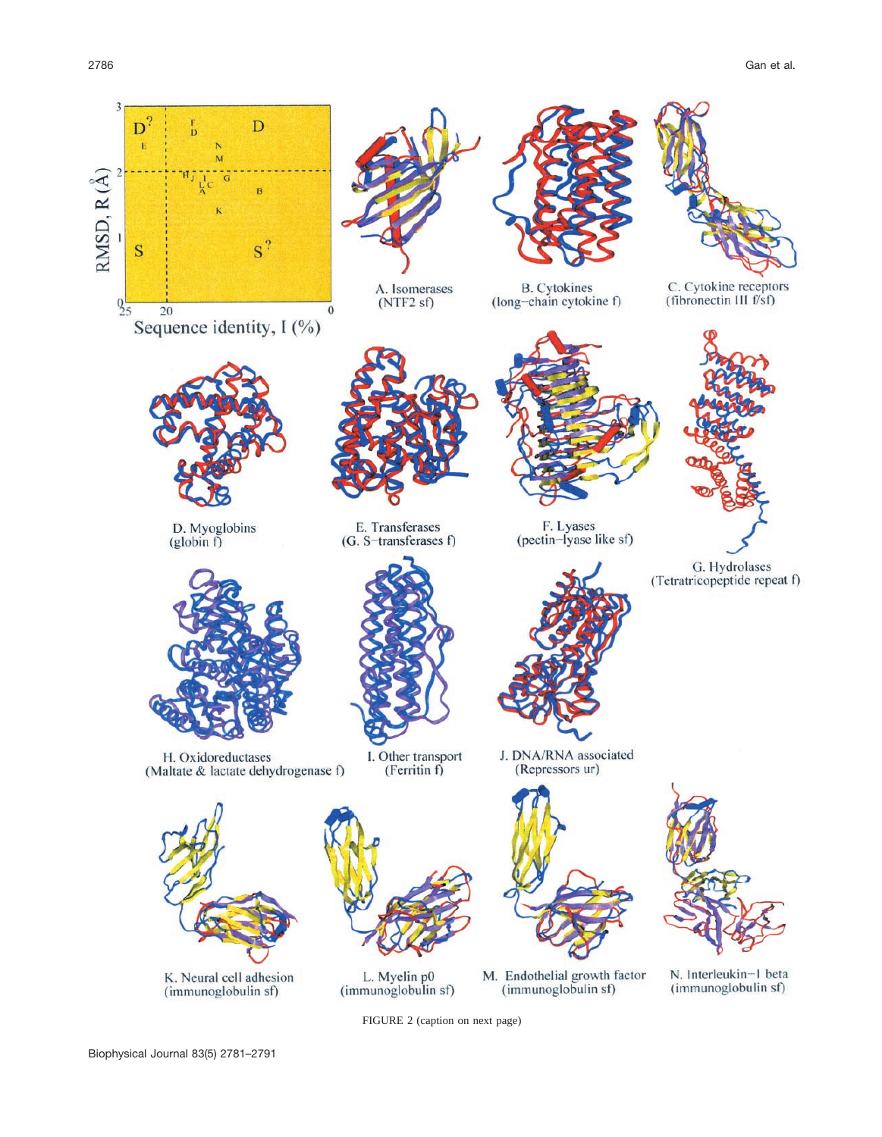2786 Gan et al. 2009 and 2009 and 2009 and 2009 and 2009 and 2009 and 2009 and 2009 and 2009 and 2009 and 2009

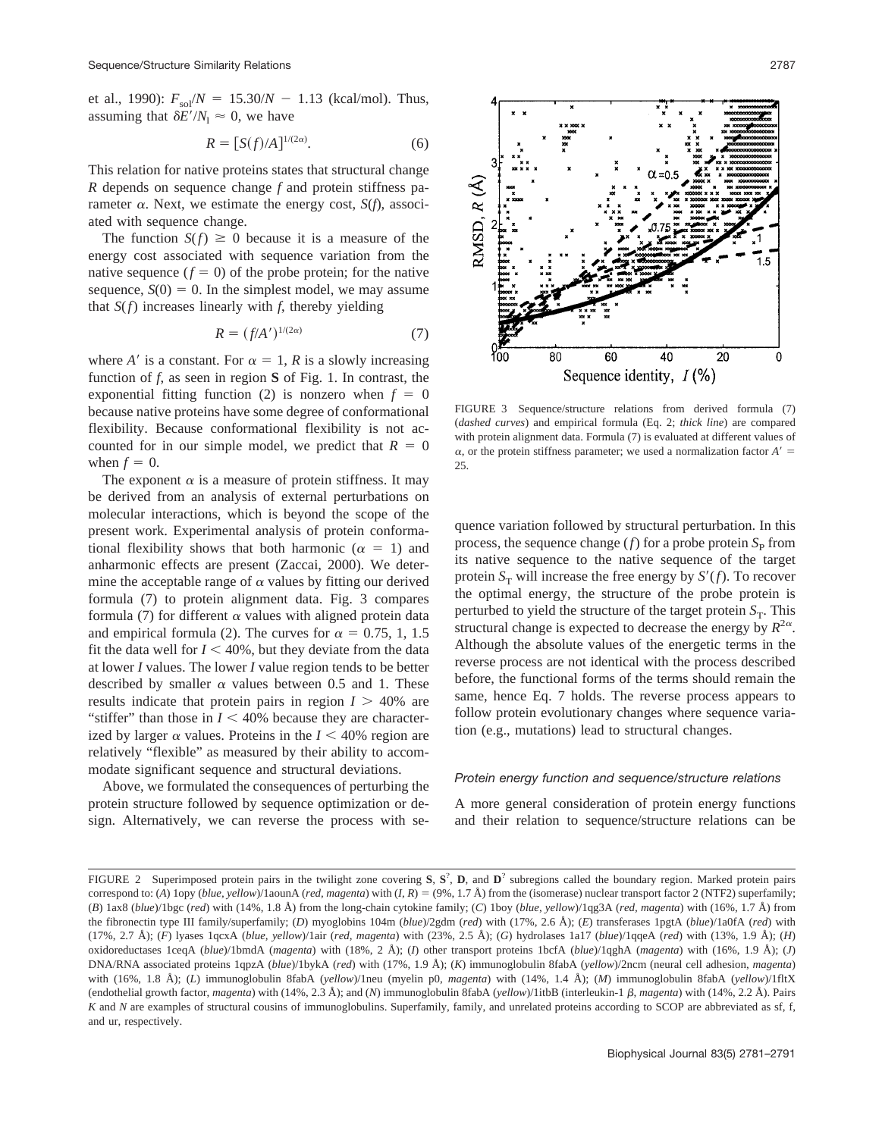et al., 1990):  $F_{\text{sol}}/N = 15.30/N - 1.13$  (kcal/mol). Thus, assuming that  $\delta E^{\prime}/N_1 \approx 0$ , we have

$$
R = [S(f)/A]^{1/(2\alpha)}.
$$
 (6)

This relation for native proteins states that structural change *R* depends on sequence change *f* and protein stiffness parameter  $\alpha$ . Next, we estimate the energy cost,  $S(f)$ , associated with sequence change.

The function  $S(f) \geq 0$  because it is a measure of the energy cost associated with sequence variation from the native sequence  $(f = 0)$  of the probe protein; for the native sequence,  $S(0) = 0$ . In the simplest model, we may assume that *S*(*f*) increases linearly with *f*, thereby yielding

$$
R = (f/A')^{1/(2\alpha)}\tag{7}
$$

where *A'* is a constant. For  $\alpha = 1$ , *R* is a slowly increasing function of *f*, as seen in region **S** of Fig. 1. In contrast, the exponential fitting function (2) is nonzero when  $f = 0$ because native proteins have some degree of conformational flexibility. Because conformational flexibility is not accounted for in our simple model, we predict that  $R = 0$ when  $f = 0$ .

The exponent  $\alpha$  is a measure of protein stiffness. It may be derived from an analysis of external perturbations on molecular interactions, which is beyond the scope of the present work. Experimental analysis of protein conformational flexibility shows that both harmonic ( $\alpha = 1$ ) and anharmonic effects are present (Zaccai, 2000). We determine the acceptable range of  $\alpha$  values by fitting our derived formula (7) to protein alignment data. Fig. 3 compares formula (7) for different  $\alpha$  values with aligned protein data and empirical formula (2). The curves for  $\alpha = 0.75, 1, 1.5$ fit the data well for  $I < 40\%$ , but they deviate from the data at lower *I* values. The lower *I* value region tends to be better described by smaller  $\alpha$  values between 0.5 and 1. These results indicate that protein pairs in region  $I > 40\%$  are "stiffer" than those in  $I < 40\%$  because they are characterized by larger  $\alpha$  values. Proteins in the  $I < 40\%$  region are relatively "flexible" as measured by their ability to accommodate significant sequence and structural deviations.

Above, we formulated the consequences of perturbing the protein structure followed by sequence optimization or design. Alternatively, we can reverse the process with se-



FIGURE 3 Sequence/structure relations from derived formula (7) (*dashed curves*) and empirical formula (Eq. 2; *thick line*) are compared with protein alignment data. Formula (7) is evaluated at different values of  $\alpha$ , or the protein stiffness parameter; we used a normalization factor  $A' =$ 25.

quence variation followed by structural perturbation. In this process, the sequence change  $(f)$  for a probe protein  $S<sub>P</sub>$  from its native sequence to the native sequence of the target protein  $S_T$  will increase the free energy by  $S'(f)$ . To recover the optimal energy, the structure of the probe protein is perturbed to yield the structure of the target protein  $S_T$ . This structural change is expected to decrease the energy by  $R^{2\alpha}$ . Although the absolute values of the energetic terms in the reverse process are not identical with the process described before, the functional forms of the terms should remain the same, hence Eq. 7 holds. The reverse process appears to follow protein evolutionary changes where sequence variation (e.g., mutations) lead to structural changes.

#### *Protein energy function and sequence/structure relations*

A more general consideration of protein energy functions and their relation to sequence/structure relations can be

FIGURE 2 Superimposed protein pairs in the twilight zone covering **S**, **S**? , **D**, and **D**? subregions called the boundary region. Marked protein pairs correspond to: (*A*) 1opy (*blue, yellow*)/1aounA (*red, magenta*) with (*I*, *R*) - (9%, 1.7 Å) from the (isomerase) nuclear transport factor 2 (NTF2) superfamily; (*B*) 1ax8 (*blue*)/1bgc (*red*) with (14%, 1.8 Å) from the long-chain cytokine family; (*C*) 1boy (*blue*, *yellow*)/1qg3A (*red, magenta*) with (16%, 1.7 Å) from the fibronectin type III family/superfamily; (*D*) myoglobins 104m (*blue*)/2gdm (*red*) with (17%, 2.6 Å); (*E*) transferases 1pgtA (*blue*)/1a0fA (*red*) with (17%, 2.7 Å); (*F*) lyases 1qcxA (*blue, yellow*)/1air (*red, magenta*) with (23%, 2.5 Å); (*G*) hydrolases 1a17 (*blue*)/1qqeA (*red*) with (13%, 1.9 Å); (*H*) oxidoreductases 1ceqA (*blue*)/1bmdA (*magenta*) with (18%, 2 Å); (*I*) other transport proteins 1bcfA (*blue*)/1qghA (*magenta*) with (16%, 1.9 Å); (*J*) DNA/RNA associated proteins 1qpzA (*blue*)/1bykA (*red*) with (17%, 1.9 Å); (*K*) immunoglobulin 8fabA (*yellow*)/2ncm (neural cell adhesion, *magenta*) with (16%, 1.8 Å); (*L*) immunoglobulin 8fabA (*yellow*)/1neu (myelin p0, *magenta*) with (14%, 1.4 Å); (*M*) immunoglobulin 8fabA (*yellow*)/1fltX (endothelial growth factor, *magenta*) with (14%, 2.3 Å); and (*N*) immunoglobulin 8fabA (*yellow*)/1itbB (interleukin-1 , *magenta*) with (14%, 2.2 Å). Pairs *K* and *N* are examples of structural cousins of immunoglobulins. Superfamily, family, and unrelated proteins according to SCOP are abbreviated as sf, f, and ur, respectively.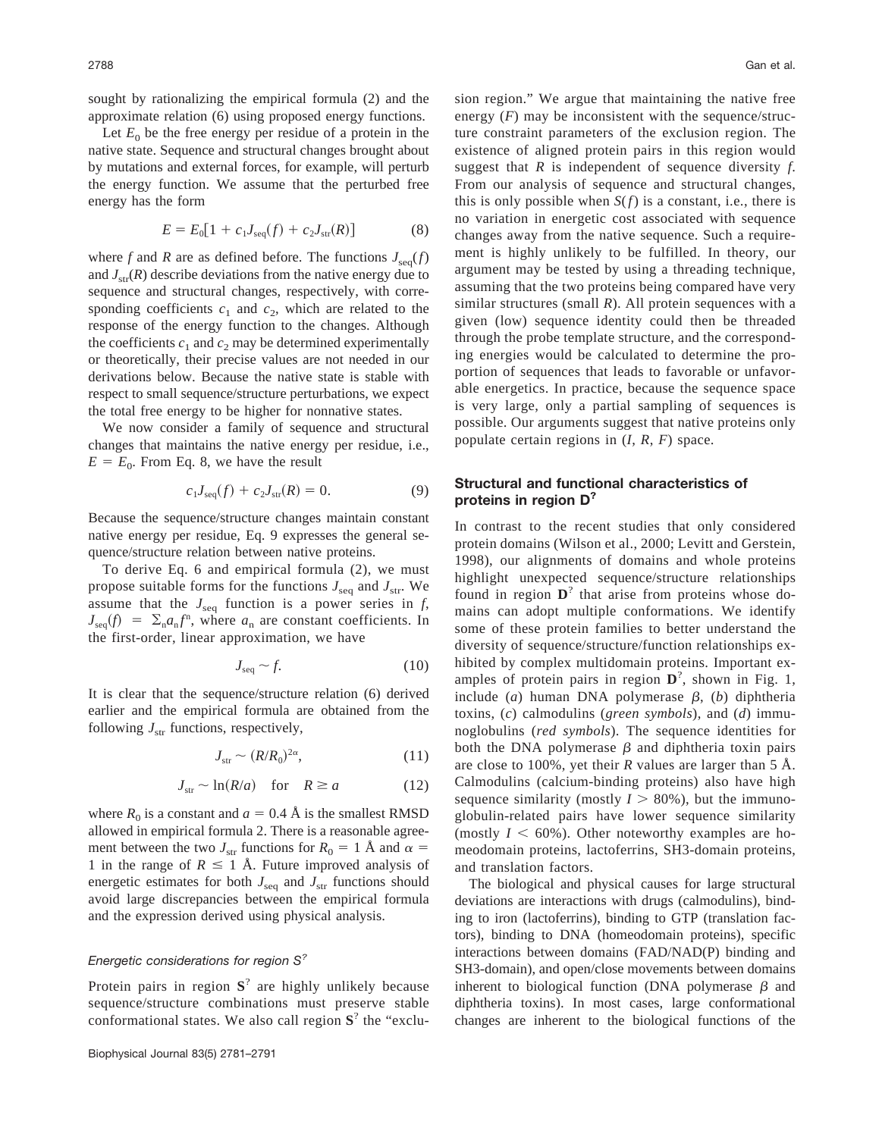sought by rationalizing the empirical formula (2) and the approximate relation (6) using proposed energy functions.

Let  $E_0$  be the free energy per residue of a protein in the native state. Sequence and structural changes brought about by mutations and external forces, for example, will perturb the energy function. We assume that the perturbed free energy has the form

$$
E = E_0[1 + c_1 J_{\text{seq}}(f) + c_2 J_{\text{str}}(R)] \tag{8}
$$

where *f* and *R* are as defined before. The functions  $J_{\text{seq}}(f)$ and  $J_{str}(R)$  describe deviations from the native energy due to sequence and structural changes, respectively, with corresponding coefficients  $c_1$  and  $c_2$ , which are related to the response of the energy function to the changes. Although the coefficients  $c_1$  and  $c_2$  may be determined experimentally or theoretically, their precise values are not needed in our derivations below. Because the native state is stable with respect to small sequence/structure perturbations, we expect the total free energy to be higher for nonnative states.

We now consider a family of sequence and structural changes that maintains the native energy per residue, i.e.,  $E = E_0$ . From Eq. 8, we have the result

$$
c_1 J_{\rm seq}(f) + c_2 J_{\rm str}(R) = 0.
$$
 (9)

Because the sequence/structure changes maintain constant native energy per residue, Eq. 9 expresses the general sequence/structure relation between native proteins.

To derive Eq. 6 and empirical formula (2), we must propose suitable forms for the functions  $J_{\text{seq}}$  and  $J_{\text{str}}$ . We assume that the  $J_{\text{seq}}$  function is a power series in  $f$ ,  $J_{\text{seq}}(f) = \sum_{n} a_n f^n$ , where  $a_n$  are constant coefficients. In the first-order, linear approximation, we have

$$
J_{\text{seq}} \sim f. \tag{10}
$$

It is clear that the sequence/structure relation (6) derived earlier and the empirical formula are obtained from the following  $J_{\rm str}$  functions, respectively,

$$
J_{\rm str} \sim (R/R_0)^{2\alpha},\tag{11}
$$

$$
J_{\rm str} \sim \ln(R/a) \quad \text{for} \quad R \ge a \tag{12}
$$

where  $R_0$  is a constant and  $a = 0.4$  Å is the smallest RMSD allowed in empirical formula 2. There is a reasonable agreement between the two  $J_{\text{str}}$  functions for  $R_0 = 1$  Å and  $\alpha =$ 1 in the range of  $R \leq 1$  Å. Future improved analysis of energetic estimates for both  $J_{\text{seq}}$  and  $J_{\text{str}}$  functions should avoid large discrepancies between the empirical formula and the expression derived using physical analysis.

# *Energetic considerations for region S?*

Protein pairs in region **S**? are highly unlikely because sequence/structure combinations must preserve stable conformational states. We also call region **S**? the "exclu-

sion region." We argue that maintaining the native free energy  $(F)$  may be inconsistent with the sequence/structure constraint parameters of the exclusion region. The existence of aligned protein pairs in this region would suggest that *R* is independent of sequence diversity *f*. From our analysis of sequence and structural changes, this is only possible when  $S(f)$  is a constant, i.e., there is no variation in energetic cost associated with sequence changes away from the native sequence. Such a requirement is highly unlikely to be fulfilled. In theory, our argument may be tested by using a threading technique, assuming that the two proteins being compared have very similar structures (small *R*). All protein sequences with a given (low) sequence identity could then be threaded through the probe template structure, and the corresponding energies would be calculated to determine the proportion of sequences that leads to favorable or unfavorable energetics. In practice, because the sequence space is very large, only a partial sampling of sequences is possible. Our arguments suggest that native proteins only populate certain regions in (*I*, *R*, *F*) space.

# **Structural and functional characteristics of proteins in region D?**

In contrast to the recent studies that only considered protein domains (Wilson et al., 2000; Levitt and Gerstein, 1998), our alignments of domains and whole proteins highlight unexpected sequence/structure relationships found in region  $\mathbf{D}^2$  that arise from proteins whose domains can adopt multiple conformations. We identify some of these protein families to better understand the diversity of sequence/structure/function relationships exhibited by complex multidomain proteins. Important examples of protein pairs in region **D**? , shown in Fig. 1, include (*a*) human DNA polymerase  $\beta$ , (*b*) diphtheria toxins, (*c*) calmodulins (*green symbols*), and (*d*) immunoglobulins (*red symbols*). The sequence identities for both the DNA polymerase  $\beta$  and diphtheria toxin pairs are close to 100%, yet their *R* values are larger than 5 Å. Calmodulins (calcium-binding proteins) also have high sequence similarity (mostly  $I > 80\%$ ), but the immunoglobulin-related pairs have lower sequence similarity (mostly  $I \leq 60\%$ ). Other noteworthy examples are homeodomain proteins, lactoferrins, SH3-domain proteins, and translation factors.

The biological and physical causes for large structural deviations are interactions with drugs (calmodulins), binding to iron (lactoferrins), binding to GTP (translation factors), binding to DNA (homeodomain proteins), specific interactions between domains (FAD/NAD(P) binding and SH3-domain), and open/close movements between domains inherent to biological function (DNA polymerase  $\beta$  and diphtheria toxins). In most cases, large conformational changes are inherent to the biological functions of the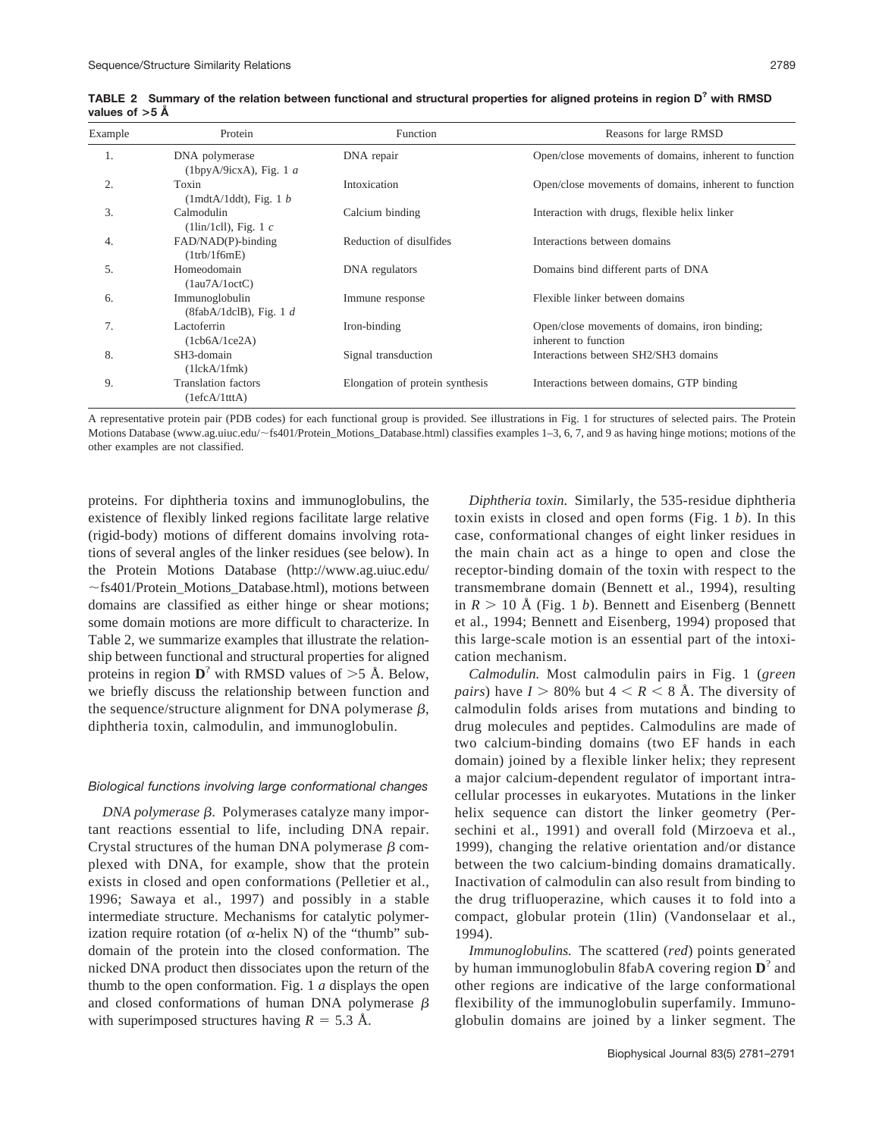| Example | Protein                                              | Function                        | Reasons for large RMSD                                                 |
|---------|------------------------------------------------------|---------------------------------|------------------------------------------------------------------------|
| 1.      | DNA polymerase<br>(1bpyA/9icxA), Fig. 1 $a$          | DNA repair                      | Open/close movements of domains, inherent to function                  |
| 2.      | Toxin<br>$(1 \text{mdtA}/1 \text{ddt})$ , Fig. 1 b   | Intoxication                    | Open/close movements of domains, inherent to function                  |
| 3.      | Calmodulin<br>$(1\text{lin}/1\text{ell})$ , Fig. 1 c | Calcium binding                 | Interaction with drugs, flexible helix linker                          |
| 4.      | $FAD/ NAD(P)$ -binding<br>$(1$ trb $/1$ f6mE)        | Reduction of disulfides         | Interactions between domains                                           |
| 5.      | Homeodomain<br>(lau7A/loctC)                         | DNA regulators                  | Domains bind different parts of DNA                                    |
| 6.      | Immunoglobulin<br>(8fabA/1dclB), Fig. 1 $d$          | Immune response                 | Flexible linker between domains                                        |
| 7.      | Lactoferrin<br>(1cb6A/1ce2A)                         | Iron-binding                    | Open/close movements of domains, iron binding;<br>inherent to function |
| 8.      | SH3-domain<br>$(1$ lck $A/1$ fmk $)$                 | Signal transduction             | Interactions between SH2/SH3 domains                                   |
| 9.      | <b>Translation factors</b><br>(1efcA/1tttA)          | Elongation of protein synthesis | Interactions between domains, GTP binding                              |

**TABLE 2 Summary of the relation between functional and structural properties for aligned proteins in region D? with RMSD values of >5 Å**

A representative protein pair (PDB codes) for each functional group is provided. See illustrations in Fig. 1 for structures of selected pairs. The Protein Motions Database (www.ag.uiuc.edu/~fs401/Protein\_Motions\_Database.html) classifies examples 1-3, 6, 7, and 9 as having hinge motions; motions of the other examples are not classified.

proteins. For diphtheria toxins and immunoglobulins, the existence of flexibly linked regions facilitate large relative (rigid-body) motions of different domains involving rotations of several angles of the linker residues (see below). In the Protein Motions Database (http://www.ag.uiuc.edu/  $\sim$ fs401/Protein\_Motions\_Database.html), motions between domains are classified as either hinge or shear motions; some domain motions are more difficult to characterize. In Table 2, we summarize examples that illustrate the relationship between functional and structural properties for aligned proteins in region  $\mathbf{D}^2$  with RMSD values of  $>5$  Å. Below, we briefly discuss the relationship between function and the sequence/structure alignment for DNA polymerase  $\beta$ , diphtheria toxin, calmodulin, and immunoglobulin.

# *Biological functions involving large conformational changes*

*DNA polymerase*  $\beta$ . Polymerases catalyze many important reactions essential to life, including DNA repair. Crystal structures of the human DNA polymerase  $\beta$  complexed with DNA, for example, show that the protein exists in closed and open conformations (Pelletier et al., 1996; Sawaya et al., 1997) and possibly in a stable intermediate structure. Mechanisms for catalytic polymerization require rotation (of  $\alpha$ -helix N) of the "thumb" subdomain of the protein into the closed conformation. The nicked DNA product then dissociates upon the return of the thumb to the open conformation. Fig. 1 *a* displays the open and closed conformations of human DNA polymerase  $\beta$ with superimposed structures having  $R = 5.3$  Å.

*Diphtheria toxin.* Similarly, the 535-residue diphtheria toxin exists in closed and open forms (Fig. 1 *b*). In this case, conformational changes of eight linker residues in the main chain act as a hinge to open and close the receptor-binding domain of the toxin with respect to the transmembrane domain (Bennett et al., 1994), resulting in  $R > 10$  Å (Fig. 1 *b*). Bennett and Eisenberg (Bennett et al., 1994; Bennett and Eisenberg, 1994) proposed that this large-scale motion is an essential part of the intoxication mechanism.

*Calmodulin.* Most calmodulin pairs in Fig. 1 (*green pairs*) have  $I > 80\%$  but  $4 < R < 8$  Å. The diversity of calmodulin folds arises from mutations and binding to drug molecules and peptides. Calmodulins are made of two calcium-binding domains (two EF hands in each domain) joined by a flexible linker helix; they represent a major calcium-dependent regulator of important intracellular processes in eukaryotes. Mutations in the linker helix sequence can distort the linker geometry (Persechini et al., 1991) and overall fold (Mirzoeva et al., 1999), changing the relative orientation and/or distance between the two calcium-binding domains dramatically. Inactivation of calmodulin can also result from binding to the drug trifluoperazine, which causes it to fold into a compact, globular protein (1lin) (Vandonselaar et al., 1994).

*Immunoglobulins.* The scattered (*red*) points generated by human immunoglobulin 8fabA covering region **D**? and other regions are indicative of the large conformational flexibility of the immunoglobulin superfamily. Immunoglobulin domains are joined by a linker segment. The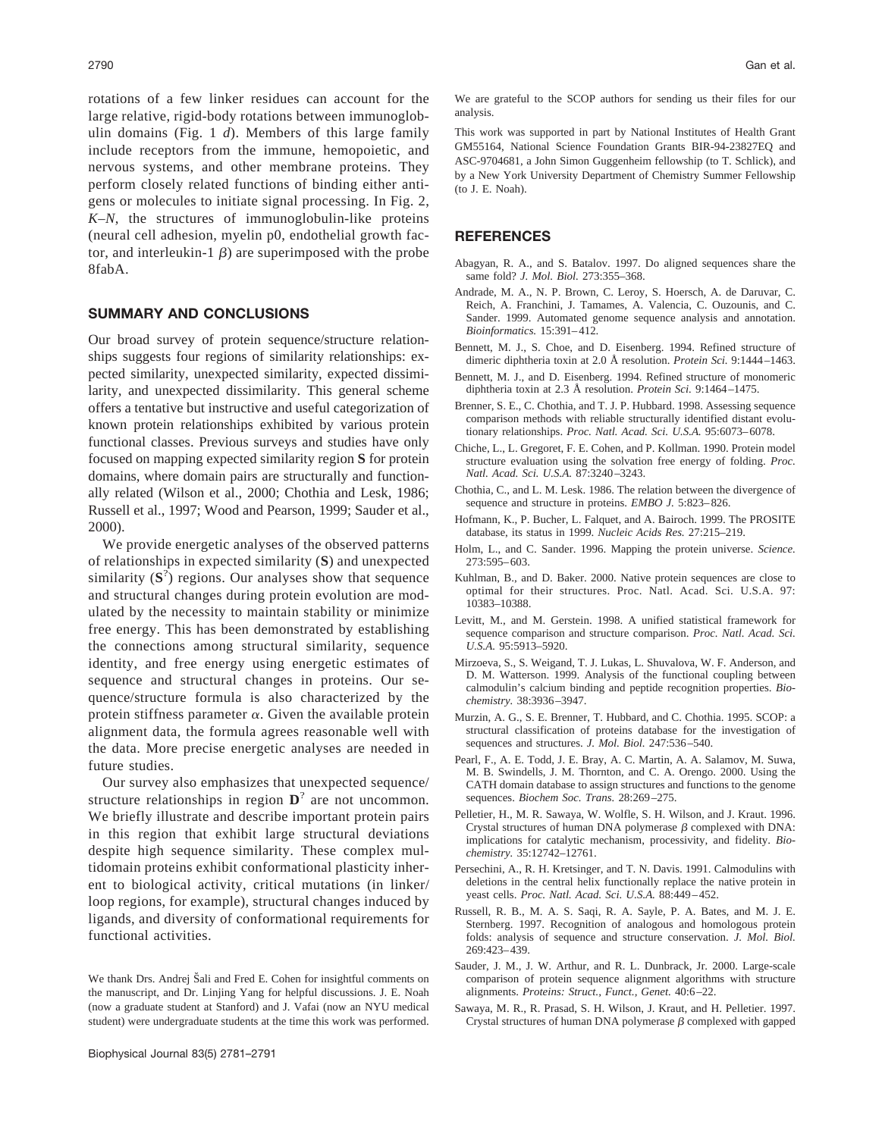rotations of a few linker residues can account for the large relative, rigid-body rotations between immunoglobulin domains (Fig. 1 *d*). Members of this large family include receptors from the immune, hemopoietic, and nervous systems, and other membrane proteins. They perform closely related functions of binding either antigens or molecules to initiate signal processing. In Fig. 2, *K–N*, the structures of immunoglobulin-like proteins (neural cell adhesion, myelin p0, endothelial growth factor, and interleukin-1  $\beta$ ) are superimposed with the probe 8fabA.

# **SUMMARY AND CONCLUSIONS**

Our broad survey of protein sequence/structure relationships suggests four regions of similarity relationships: expected similarity, unexpected similarity, expected dissimilarity, and unexpected dissimilarity. This general scheme offers a tentative but instructive and useful categorization of known protein relationships exhibited by various protein functional classes. Previous surveys and studies have only focused on mapping expected similarity region **S** for protein domains, where domain pairs are structurally and functionally related (Wilson et al., 2000; Chothia and Lesk, 1986; Russell et al., 1997; Wood and Pearson, 1999; Sauder et al., 2000).

We provide energetic analyses of the observed patterns of relationships in expected similarity (**S**) and unexpected similarity  $(S^7)$  regions. Our analyses show that sequence and structural changes during protein evolution are modulated by the necessity to maintain stability or minimize free energy. This has been demonstrated by establishing the connections among structural similarity, sequence identity, and free energy using energetic estimates of sequence and structural changes in proteins. Our sequence/structure formula is also characterized by the protein stiffness parameter  $\alpha$ . Given the available protein alignment data, the formula agrees reasonable well with the data. More precise energetic analyses are needed in future studies.

Our survey also emphasizes that unexpected sequence/ structure relationships in region **D**? are not uncommon. We briefly illustrate and describe important protein pairs in this region that exhibit large structural deviations despite high sequence similarity. These complex multidomain proteins exhibit conformational plasticity inherent to biological activity, critical mutations (in linker/ loop regions, for example), structural changes induced by ligands, and diversity of conformational requirements for functional activities.

We thank Drs. Andrej Šali and Fred E. Cohen for insightful comments on the manuscript, and Dr. Linjing Yang for helpful discussions. J. E. Noah (now a graduate student at Stanford) and J. Vafai (now an NYU medical student) were undergraduate students at the time this work was performed.

We are grateful to the SCOP authors for sending us their files for our analysis.

This work was supported in part by National Institutes of Health Grant GM55164, National Science Foundation Grants BIR-94-23827EQ and ASC-9704681, a John Simon Guggenheim fellowship (to T. Schlick), and by a New York University Department of Chemistry Summer Fellowship (to J. E. Noah).

# **REFERENCES**

- Abagyan, R. A., and S. Batalov. 1997. Do aligned sequences share the same fold? *J. Mol. Biol.* 273:355–368.
- Andrade, M. A., N. P. Brown, C. Leroy, S. Hoersch, A. de Daruvar, C. Reich, A. Franchini, J. Tamames, A. Valencia, C. Ouzounis, and C. Sander. 1999. Automated genome sequence analysis and annotation. *Bioinformatics.* 15:391–412.
- Bennett, M. J., S. Choe, and D. Eisenberg. 1994. Refined structure of dimeric diphtheria toxin at 2.0 Å resolution. *Protein Sci.* 9:1444–1463.
- Bennett, M. J., and D. Eisenberg. 1994. Refined structure of monomeric diphtheria toxin at 2.3 Å resolution. *Protein Sci.* 9:1464–1475.
- Brenner, S. E., C. Chothia, and T. J. P. Hubbard. 1998. Assessing sequence comparison methods with reliable structurally identified distant evolutionary relationships. *Proc. Natl. Acad. Sci. U.S.A.* 95:6073–6078.
- Chiche, L., L. Gregoret, F. E. Cohen, and P. Kollman. 1990. Protein model structure evaluation using the solvation free energy of folding. *Proc. Natl. Acad. Sci. U.S.A.* 87:3240–3243.
- Chothia, C., and L. M. Lesk. 1986. The relation between the divergence of sequence and structure in proteins. *EMBO J.* 5:823–826.
- Hofmann, K., P. Bucher, L. Falquet, and A. Bairoch. 1999. The PROSITE database, its status in 1999. *Nucleic Acids Res.* 27:215–219.
- Holm, L., and C. Sander. 1996. Mapping the protein universe. *Science.* 273:595–603.
- Kuhlman, B., and D. Baker. 2000. Native protein sequences are close to optimal for their structures. Proc. Natl. Acad. Sci. U.S.A. 97: 10383–10388.
- Levitt, M., and M. Gerstein. 1998. A unified statistical framework for sequence comparison and structure comparison. *Proc. Natl. Acad. Sci. U.S.A.* 95:5913–5920.
- Mirzoeva, S., S. Weigand, T. J. Lukas, L. Shuvalova, W. F. Anderson, and D. M. Watterson. 1999. Analysis of the functional coupling between calmodulin's calcium binding and peptide recognition properties. *Biochemistry.* 38:3936–3947.
- Murzin, A. G., S. E. Brenner, T. Hubbard, and C. Chothia. 1995. SCOP: a structural classification of proteins database for the investigation of sequences and structures. *J. Mol. Biol.* 247:536–540.
- Pearl, F., A. E. Todd, J. E. Bray, A. C. Martin, A. A. Salamov, M. Suwa, M. B. Swindells, J. M. Thornton, and C. A. Orengo. 2000. Using the CATH domain database to assign structures and functions to the genome sequences. *Biochem Soc. Trans.* 28:269–275.
- Pelletier, H., M. R. Sawaya, W. Wolfle, S. H. Wilson, and J. Kraut. 1996. Crystal structures of human DNA polymerase  $\beta$  complexed with DNA: implications for catalytic mechanism, processivity, and fidelity. *Biochemistry.* 35:12742–12761.
- Persechini, A., R. H. Kretsinger, and T. N. Davis. 1991. Calmodulins with deletions in the central helix functionally replace the native protein in yeast cells. *Proc. Natl. Acad. Sci. U.S.A.* 88:449–452.
- Russell, R. B., M. A. S. Saqi, R. A. Sayle, P. A. Bates, and M. J. E. Sternberg. 1997. Recognition of analogous and homologous protein folds: analysis of sequence and structure conservation. *J. Mol. Biol.* 269:423–439.
- Sauder, J. M., J. W. Arthur, and R. L. Dunbrack, Jr. 2000. Large-scale comparison of protein sequence alignment algorithms with structure alignments. *Proteins: Struct., Funct., Genet.* 40:6–22.
- Sawaya, M. R., R. Prasad, S. H. Wilson, J. Kraut, and H. Pelletier. 1997. Crystal structures of human DNA polymerase  $\beta$  complexed with gapped